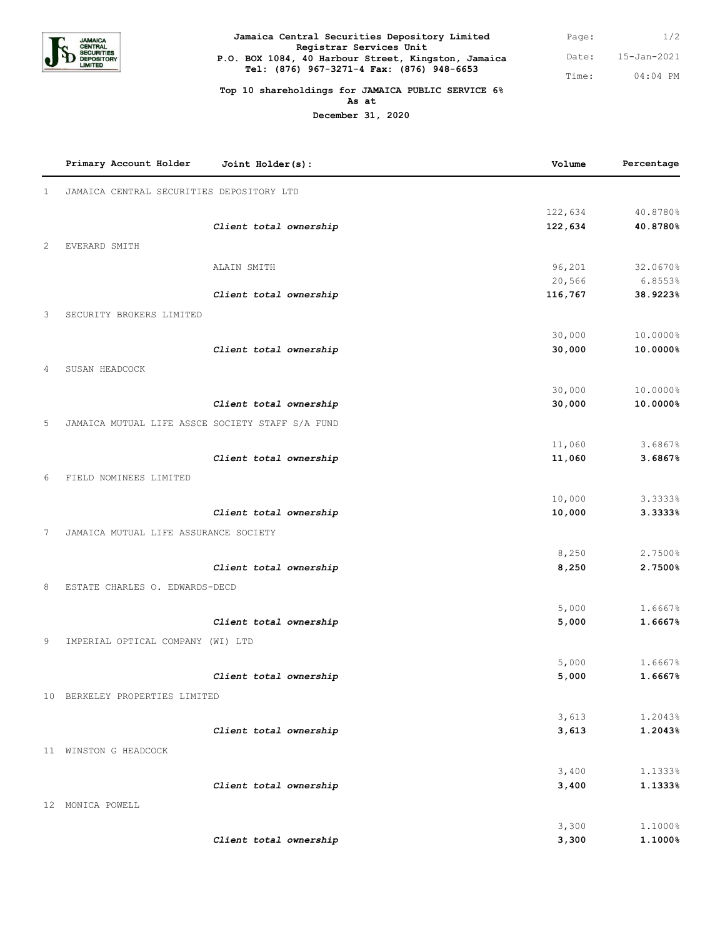

**Jamaica Central Securities Depository Limited Registrar Services Unit P.O. BOX 1084, 40 Harbour Street, Kingston, Jamaica Tel: (876) 967-3271-4 Fax: (876) 948-6653**

1/2 15-Jan-2021 04:04 PM Page: Date: Time:

## **Top 10 shareholdings for JAMAICA PUBLIC SERVICE 6% As at**

**December 31, 2020**

|              | Primary Account Holder                           | Joint Holder(s):       | Volume           | Percentage         |
|--------------|--------------------------------------------------|------------------------|------------------|--------------------|
| $\mathbf{1}$ | JAMAICA CENTRAL SECURITIES DEPOSITORY LTD        |                        |                  |                    |
|              |                                                  |                        | 122,634          | 40.8780%           |
|              |                                                  | Client total ownership | 122,634          | 40.8780%           |
| 2            | EVERARD SMITH                                    |                        |                  |                    |
|              |                                                  | ALAIN SMITH            | 96,201           | 32.0670%           |
|              |                                                  |                        | 20,566           | 6.8553%            |
|              |                                                  | Client total ownership | 116,767          | 38.9223%           |
| 3            | SECURITY BROKERS LIMITED                         |                        |                  |                    |
|              |                                                  |                        | 30,000           | 10.0000%           |
|              |                                                  | Client total ownership | 30,000           | 10.0000%           |
| 4            | SUSAN HEADCOCK                                   |                        |                  |                    |
|              |                                                  |                        | 30,000           | 10.0000%           |
|              |                                                  | Client total ownership | 30,000           | 10.0000%           |
| 5            | JAMAICA MUTUAL LIFE ASSCE SOCIETY STAFF S/A FUND |                        |                  |                    |
|              |                                                  |                        | 11,060           | 3.6867%            |
|              |                                                  | Client total ownership | 11,060           | 3.6867%            |
| 6            | FIELD NOMINEES LIMITED                           |                        |                  |                    |
|              |                                                  |                        |                  |                    |
|              |                                                  | Client total ownership | 10,000<br>10,000 | 3.3333%<br>3.3333% |
|              |                                                  |                        |                  |                    |
| 7            | JAMAICA MUTUAL LIFE ASSURANCE SOCIETY            |                        |                  |                    |
|              |                                                  |                        | 8,250            | 2.7500%            |
|              |                                                  | Client total ownership | 8,250            | 2.7500%            |
| 8            | ESTATE CHARLES O. EDWARDS-DECD                   |                        |                  |                    |
|              |                                                  |                        | 5,000            | 1.6667%            |
|              |                                                  | Client total ownership | 5,000            | 1.6667%            |
| 9            | IMPERIAL OPTICAL COMPANY (WI) LTD                |                        |                  |                    |
|              |                                                  |                        | 5,000            | 1.6667%            |
|              |                                                  | Client total ownership | 5,000            | 1.6667%            |
|              | 10 BERKELEY PROPERTIES LIMITED                   |                        |                  |                    |
|              |                                                  |                        | 3,613            | 1.2043%            |
|              |                                                  | Client total ownership | 3,613            | 1.2043%            |
|              | 11 WINSTON G HEADCOCK                            |                        |                  |                    |
|              |                                                  |                        |                  |                    |
|              |                                                  |                        | 3,400            | 1.1333%            |
|              |                                                  | Client total ownership | 3,400            | 1.1333%            |
|              | 12 MONICA POWELL                                 |                        |                  |                    |
|              |                                                  |                        | 3,300            | 1.1000%            |
|              |                                                  | Client total ownership | 3,300            | 1.1000%            |